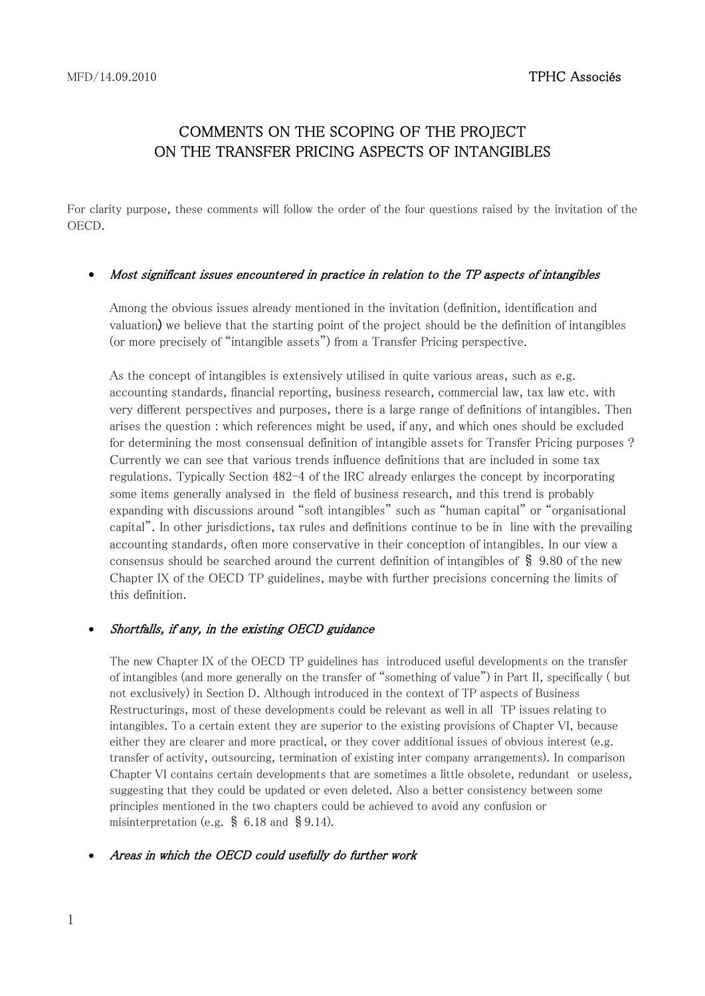# COMMENTS ON THE SCOPING OF THE PROJECT ON THE TRANSFER PRICING ASPECTS OF INTANGIBLES

For clarity purpose, these comments will follow the order of the four questions raised by the invitation of the OECD.

#### • Most significant issues encountered in practice in relation to the TP aspects of intangibles

Among the obvious issues already mentioned in the invitation (definition, identification and valuation) we believe that the starting point of the project should be the definition of intangibles (or more precisely of "intangible assets") from a Transfer Pricing perspective.

As the concept of intangibles is extensively utilised in quite various areas, such as e.g. accounting standards, financial reporting, business research, commercial law, tax law etc. with very different perspectives and purposes, there is a large range of definitions of intangibles. Then arises the question : which references might be used, if any, and which ones should be excluded for determining the most consensual definition of intangible assets for Transfer Pricing purposes ? Currently we can see that various trends influence definitions that are included in some tax regulations. Typically Section 482-4 of the IRC already enlarges the concept by incorporating some items generally analysed in the field of business research, and this trend is probably expanding with discussions around "soft intangibles" such as "human capital" or "organisational capital". In other jurisdictions, tax rules and definitions continue to be in line with the prevailing accounting standards, often more conservative in their conception of intangibles. In our view a consensus should be searched around the current definition of intangibles of § 9.80 of the new Chapter IX of the OECD TP guidelines, maybe with further precisions concerning the limits of this definition.

## • Shortfalls, if any, in the existing OECD guidance

The new Chapter IX of the OECD TP guidelines has introduced useful developments on the transfer of intangibles (and more generally on the transfer of "something of value") in Part II, specifically ( but not exclusively) in Section D. Although introduced in the context of TP aspects of Business Restructurings, most of these developments could be relevant as well in all TP issues relating to intangibles. To a certain extent they are superior to the existing provisions of Chapter VI, because either they are clearer and more practical, or they cover additional issues of obvious interest (e.g. transfer of activity, outsourcing, termination of existing inter company arrangements). In comparison Chapter VI contains certain developments that are sometimes a little obsolete, redundant or useless, suggesting that they could be updated or even deleted. Also a better consistency between some principles mentioned in the two chapters could be achieved to avoid any confusion or misinterpretation (e.g. § 6.18 and §9.14).

## • Areas in which the OECD could usefully do further work